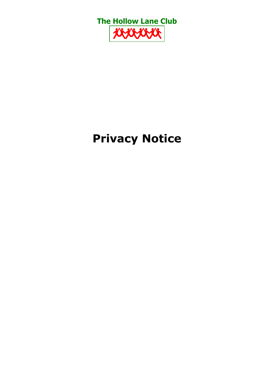

# **Privacy Notice**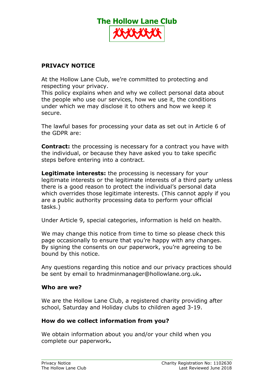

# **PRIVACY NOTICE**

At the Hollow Lane Club, we're committed to protecting and respecting your privacy.

This policy explains when and why we collect personal data about the people who use our services, how we use it, the conditions under which we may disclose it to others and how we keep it secure.

The lawful bases for processing your data as set out in Article 6 of the GDPR are:

**Contract:** the processing is necessary for a contract you have with the individual, or because they have asked you to take specific steps before entering into a contract.

**Legitimate interests:** the processing is necessary for your legitimate interests or the legitimate interests of a third party unless there is a good reason to protect the individual's personal data which overrides those legitimate interests. (This cannot apply if you are a public authority processing data to perform your official tasks.)

Under Article 9, special categories, information is held on health.

We may change this notice from time to time so please check this page occasionally to ensure that you're happy with any changes. By signing the consents on our paperwork, you're agreeing to be bound by this notice.

Any questions regarding this notice and our privacy practices should be sent by email to hradminmanager@hollowlane.org.uk**.**

## **Who are we?**

We are the Hollow Lane Club, a registered charity providing after school, Saturday and Holiday clubs to children aged 3-19.

## **How do we collect information from you?**

We obtain information about you and/or your child when you complete our paperwork**.**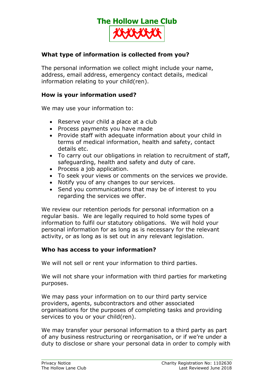

## **What type of information is collected from you?**

The personal information we collect might include your name, address, email address, emergency contact details, medical information relating to your child(ren).

### **How is your information used?**

We may use your information to:

- Reserve your child a place at a club
- Process payments you have made
- Provide staff with adequate information about your child in terms of medical information, health and safety, contact details etc.
- To carry out our obligations in relation to recruitment of staff, safeguarding, health and safety and duty of care.
- Process a job application.
- To seek your views or comments on the services we provide.
- Notify you of any changes to our services.
- Send you communications that may be of interest to you regarding the services we offer.

We review our retention periods for personal information on a regular basis. We are legally required to hold some types of information to fulfil our statutory obligations. We will hold your personal information for as long as is necessary for the relevant activity, or as long as is set out in any relevant legislation.

## **Who has access to your information?**

We will not sell or rent your information to third parties.

We will not share your information with third parties for marketing purposes.

We may pass your information on to our third party service providers, agents, subcontractors and other associated organisations for the purposes of completing tasks and providing services to you or your child(ren).

We may transfer your personal information to a third party as part of any business restructuring or reorganisation, or if we're under a duty to disclose or share your personal data in order to comply with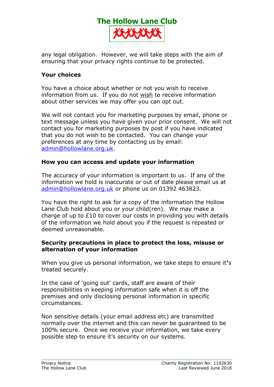

any legal obligation. However, we will take steps with the aim of ensuring that your privacy rights continue to be protected.

## **Your choices**

You have a choice about whether or not you wish to receive information from us. If you do not wish to receive information about other services we may offer you can opt out.

We will not contact you for marketing purposes by email, phone or text message unless you have given your prior consent. We will not contact you for marketing purposes by post if you have indicated that you do not wish to be contacted. You can change your preferences at any time by contacting us by email: [admin@hollowlane.org.uk](mailto:admin@hollowlane.org.uk).

#### **How you can access and update your information**

The accuracy of your information is important to us. If any of the information we hold is inaccurate or out of date please email us at [admin@hollowlane.org.uk](mailto:admin@hollowlane.org.uk) or phone us on 01392 463823.

You have the right to ask for a copy of the information the Hollow Lane Club hold about you or your child(ren). We may make a charge of up to £10 to cover our costs in providing you with details of the information we hold about you if the request is repeated or deemed unreasonable.

#### **Security precautions in place to protect the loss, misuse or alternation of your information**

When you give us personal information, we take steps to ensure it**'**s treated securely.

In the case of 'going out' cards, staff are aware of their responsibilities in keeping information safe when it is off the premises and only disclosing personal information in specific circumstances.

Non sensitive details (your email address etc) are transmitted normally over the internet and this can never be guaranteed to be 100% secure. Once we receive your information, we take every possible step to ensure it's security on our systems.